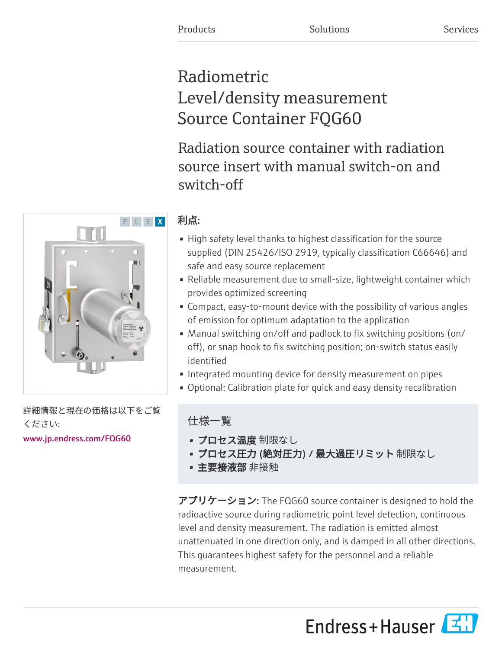# Radiometric Level/density measurement Source Container FQG60

Radiation source container with radiation source insert with manual switch-on and switch-off

## 利点:

- High safety level thanks to highest classification for the source supplied (DIN 25426/ISO 2919, typically classification C66646) and safe and easy source replacement
- Reliable measurement due to small-size, lightweight container which provides optimized screening
- Compact, easy-to-mount device with the possibility of various angles of emission for optimum adaptation to the application
- Manual switching on/off and padlock to fix switching positions (on/ off), or snap hook to fix switching position; on-switch status easily identified
- Integrated mounting device for density measurement on pipes
- Optional: Calibration plate for quick and easy density recalibration

## 仕様一覧

- プロセス温度 制限なし
- プロセス圧力 (絶対圧力) / 最大過圧リミット 制限なし
- 主要接液部 非接触

アプリケーション: The FQG60 source container is designed to hold the radioactive source during radiometric point level detection, continuous level and density measurement. The radiation is emitted almost unattenuated in one direction only, and is damped in all other directions. This guarantees highest safety for the personnel and a reliable measurement.





詳細情報と現在の価格は以下をご覧 ください:

[www.jp.endress.com/FQG60](https://www.jp.endress.com/FQG60)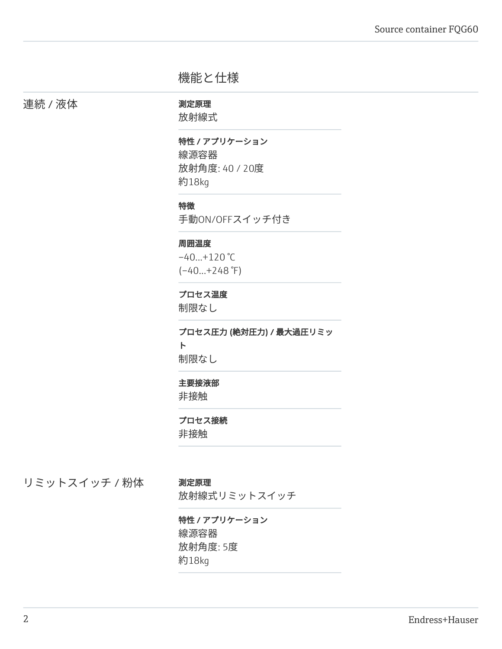## 機能と仕様

連続 / 液体 オンランス - 測定原理

放射線式

特性 / アプリケーション 線源容器 放射角度: 40 / 20度 約18kg

#### 特徴

手動ON/OFFスイッチ付き

#### 周囲温度

 $-40...+120$  °C  $(-40...+248)$ °F)

### プロセス温度

制限なし

プロセス圧力 (絶対圧力) / 最大過圧リミッ ト 制限なし

#### 主要接液部

非接触

#### プロセス接続

非接触

リミットスイッチ / 粉体 測定原理

放射線式リミットスイッチ

特性 / アプリケーション 線源容器 放射角度: 5度 約18kg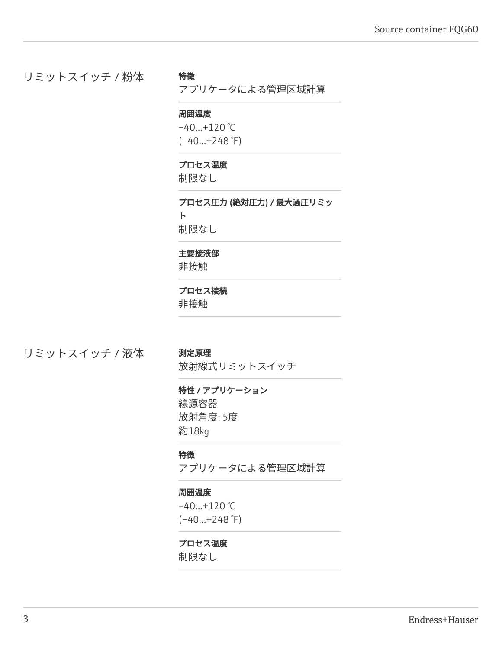リミットスイッチ / 粉体

#### 特徴

アプリケータによる管理区域計算

#### 周囲温度

 $-40...+120$  °C  $(-40...+248)$ °F)

#### プロセス温度

制限なし

プロセス圧力 (絶対圧力) / 最大過圧リミッ ト 制限なし

#### 主要接液部

非接触

#### プロセス接続

非接触

## リミットスイッチ / 液体 測定原理

放射線式リミットスイッチ

#### 特性 / アプリケーション

線源容器 放射角度: 5度 約18kg

#### 特徴

アプリケータによる管理区域計算

#### 周囲温度

 $-40...+120$  °C  $(-40...+248)$ °F)

#### プロセス温度

制限なし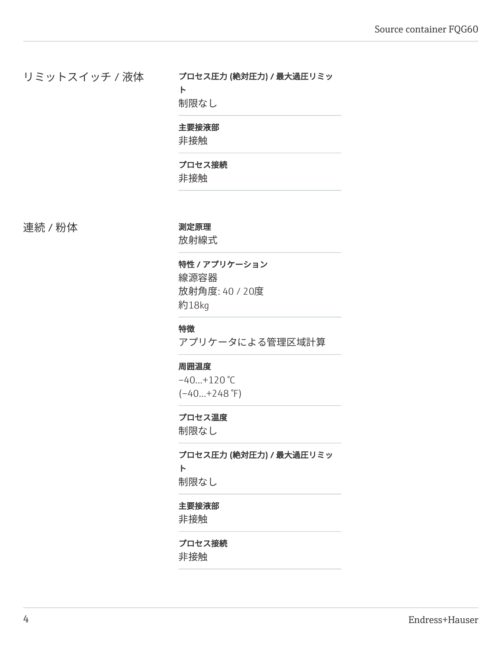リミットスイッチ / 液体

#### プロセス圧力 (絶対圧力) / 最大過圧リミッ ト

制限なし

#### 主要接液部

非接触

### プロセス接続

非接触

連続 / 粉体 インスコントランス 測定原理

放射線式

#### 特性 / アプリケーション 線源容器

放射角度: 40 / 20度 約18kg

#### 特徴

アプリケータによる管理区域計算

#### 周囲温度

 $-40...+120$  °C  $(-40...+248)$ °F)

#### プロセス温度

制限なし

プロセス圧力 (絶対圧力) / 最大過圧リミッ ト 制限なし

### 主要接液部

非接触

#### プロセス接続

非接触